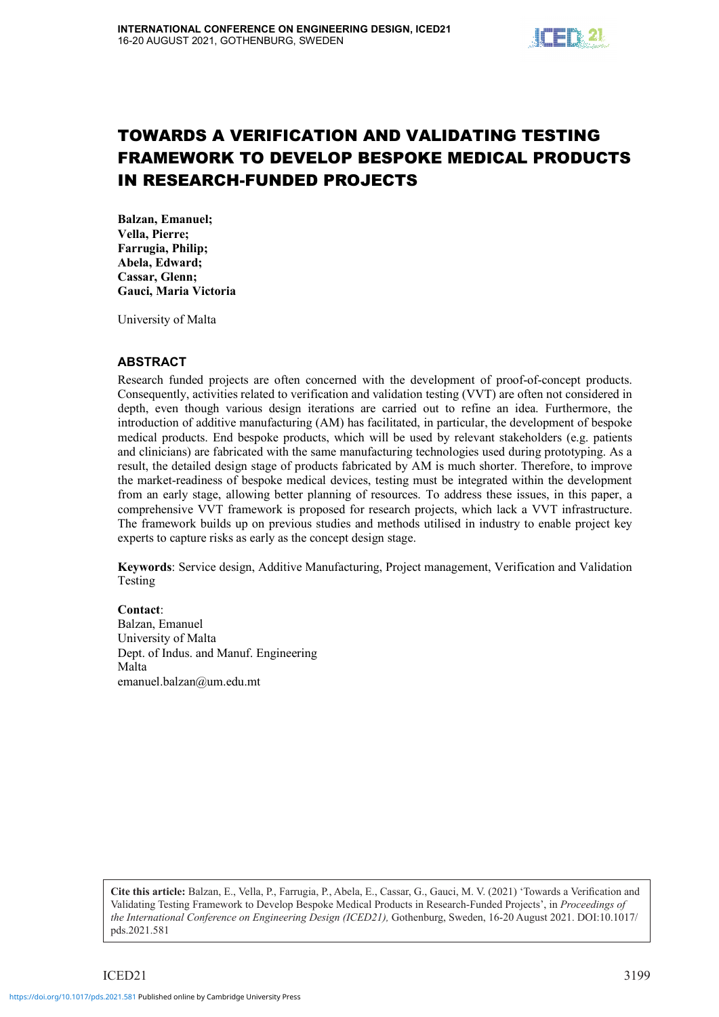

# TOWARDS A VERIFICATION AND VALIDATING TESTING FRAMEWORK TO DEVELOP BESPOKE MEDICAL PRODUCTS IN RESEARCH-FUNDED PROJECTS

Balzan, Emanuel; Vella, Pierre; Farrugia, Philip; Abela, Edward; Cassar, Glenn; Gauci, Maria Victoria

University of Malta

#### ABSTRACT

Research funded projects are often concerned with the development of proof-of-concept products. Consequently, activities related to verification and validation testing (VVT) are often not considered in depth, even though various design iterations are carried out to refine an idea. Furthermore, the introduction of additive manufacturing (AM) has facilitated, in particular, the development of bespoke medical products. End bespoke products, which will be used by relevant stakeholders (e.g. patients and clinicians) are fabricated with the same manufacturing technologies used during prototyping. As a result, the detailed design stage of products fabricated by AM is much shorter. Therefore, to improve the market-readiness of bespoke medical devices, testing must be integrated within the development from an early stage, allowing better planning of resources. To address these issues, in this paper, a comprehensive VVT framework is proposed for research projects, which lack a VVT infrastructure. The framework builds up on previous studies and methods utilised in industry to enable project key experts to capture risks as early as the concept design stage.

Keywords: Service design, Additive Manufacturing, Project management, Verification and Validation Testing

#### Contact:

Balzan, Emanuel University of Malta Dept. of Indus. and Manuf. Engineering Malta emanuel.balzan@um.edu.mt

**Cite this article:** Balzan, E., Vella, P., Farrugia, P., Abela, E., Cassar, G., Gauci, M. V. (2021) 'Towards a Verification and Validating Testing Framework to Develop Bespoke Medical Products in Research-Funded Projects', in *Proceedings of*  the International Conference on Engineering Design (ICED21), Gothenburg, Sweden, 16-20 August 2021. DOI:10.1017/ pds.2021.581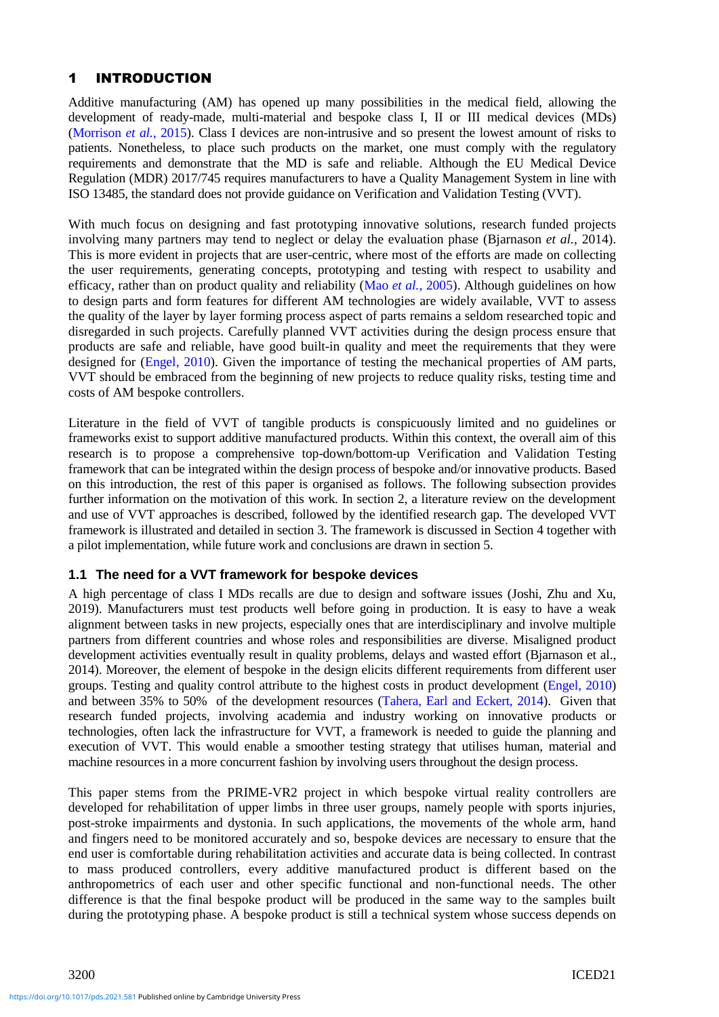# 1 INTRODUCTION

Additive manufacturing (AM) has opened up many possibilities in the medical field, allowing the development of ready-made, multi-material and bespoke class I, II or III medical devices (MDs) (Morrison *et al.*, 2015). Class I devices are non-intrusive and so present the lowest amount of risks to patients. Nonetheless, to place such products on the market, one must comply with the regulatory requirements and demonstrate that the MD is safe and reliable. Although the EU Medical Device Regulation (MDR) 2017/745 requires manufacturers to have a Quality Management System in line with ISO 13485, the standard does not provide guidance on Verification and Validation Testing (VVT).

With much focus on designing and fast prototyping innovative solutions, research funded projects involving many partners may tend to neglect or delay the evaluation phase (Bjarnason *et al.*, 2014). This is more evident in projects that are user-centric, where most of the efforts are made on collecting the user requirements, generating concepts, prototyping and testing with respect to usability and efficacy, rather than on product quality and reliability (Mao *et al.*, 2005). Although guidelines on how to design parts and form features for different AM technologies are widely available, VVT to assess the quality of the layer by layer forming process aspect of parts remains a seldom researched topic and disregarded in such projects. Carefully planned VVT activities during the design process ensure that products are safe and reliable, have good built-in quality and meet the requirements that they were designed for (Engel, 2010). Given the importance of testing the mechanical properties of AM parts, VVT should be embraced from the beginning of new projects to reduce quality risks, testing time and costs of AM bespoke controllers.

Literature in the field of VVT of tangible products is conspicuously limited and no guidelines or frameworks exist to support additive manufactured products. Within this context, the overall aim of this research is to propose a comprehensive top-down/bottom-up Verification and Validation Testing framework that can be integrated within the design process of bespoke and/or innovative products. Based on this introduction, the rest of this paper is organised as follows. The following subsection provides further information on the motivation of this work. In section 2, a literature review on the development and use of VVT approaches is described, followed by the identified research gap. The developed VVT framework is illustrated and detailed in section 3. The framework is discussed in Section 4 together with a pilot implementation, while future work and conclusions are drawn in section 5.

### **1.1 The need for a VVT framework for bespoke devices**

A high percentage of class I MDs recalls are due to design and software issues (Joshi, Zhu and Xu, 2019). Manufacturers must test products well before going in production. It is easy to have a weak alignment between tasks in new projects, especially ones that are interdisciplinary and involve multiple partners from different countries and whose roles and responsibilities are diverse. Misaligned product development activities eventually result in quality problems, delays and wasted effort (Bjarnason et al., 2014). Moreover, the element of bespoke in the design elicits different requirements from different user groups. Testing and quality control attribute to the highest costs in product development (Engel, 2010) and between 35% to 50% of the development resources (Tahera, Earl and Eckert, 2014). Given that research funded projects, involving academia and industry working on innovative products or technologies, often lack the infrastructure for VVT, a framework is needed to guide the planning and execution of VVT. This would enable a smoother testing strategy that utilises human, material and machine resources in a more concurrent fashion by involving users throughout the design process.

This paper stems from the PRIME-VR2 project in which bespoke virtual reality controllers are developed for rehabilitation of upper limbs in three user groups, namely people with sports injuries, post-stroke impairments and dystonia. In such applications, the movements of the whole arm, hand and fingers need to be monitored accurately and so, bespoke devices are necessary to ensure that the end user is comfortable during rehabilitation activities and accurate data is being collected. In contrast to mass produced controllers, every additive manufactured product is different based on the anthropometrics of each user and other specific functional and non-functional needs. The other difference is that the final bespoke product will be produced in the same way to the samples built during the prototyping phase. A bespoke product is still a technical system whose success depends on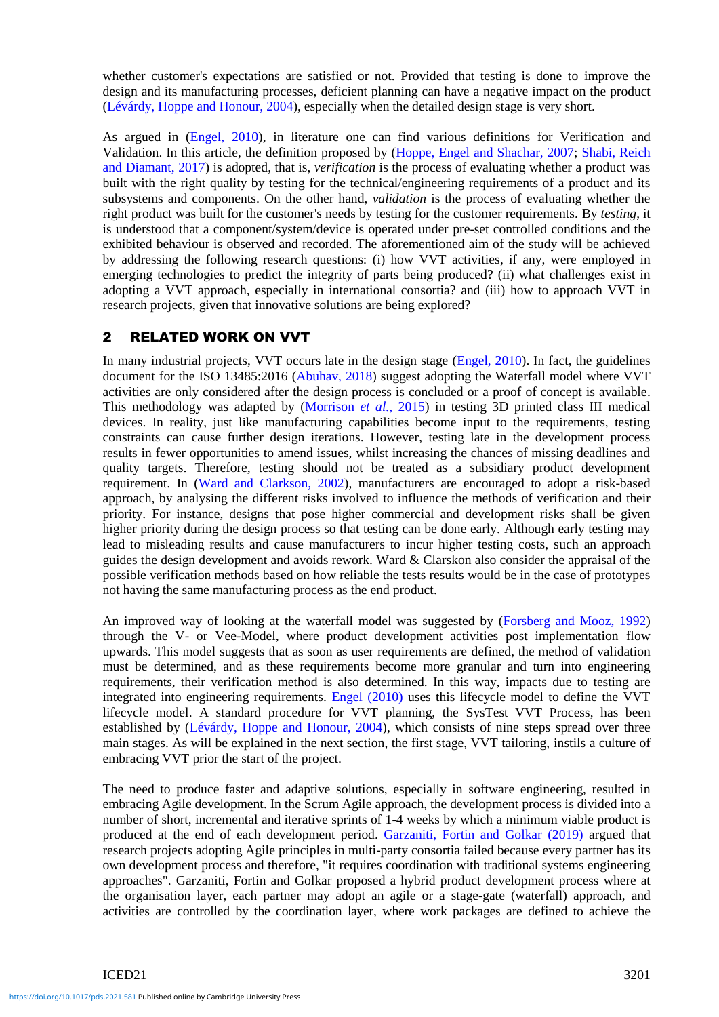whether customer's expectations are satisfied or not. Provided that testing is done to improve the design and its manufacturing processes, deficient planning can have a negative impact on the product (Lévárdy, Hoppe and Honour, 2004), especially when the detailed design stage is very short.

As argued in (Engel, 2010), in literature one can find various definitions for Verification and Validation. In this article, the definition proposed by (Hoppe, Engel and Shachar, 2007; Shabi, Reich and Diamant, 2017) is adopted, that is, *verification* is the process of evaluating whether a product was built with the right quality by testing for the technical/engineering requirements of a product and its subsystems and components. On the other hand, *validation* is the process of evaluating whether the right product was built for the customer's needs by testing for the customer requirements. By *testing*, it is understood that a component/system/device is operated under pre-set controlled conditions and the exhibited behaviour is observed and recorded. The aforementioned aim of the study will be achieved by addressing the following research questions: (i) how VVT activities, if any, were employed in emerging technologies to predict the integrity of parts being produced? (ii) what challenges exist in adopting a VVT approach, especially in international consortia? and (iii) how to approach VVT in research projects, given that innovative solutions are being explored?

# 2 RELATED WORK ON VVT

In many industrial projects, VVT occurs late in the design stage (Engel, 2010). In fact, the guidelines document for the ISO 13485:2016 (Abuhav, 2018) suggest adopting the Waterfall model where VVT activities are only considered after the design process is concluded or a proof of concept is available. This methodology was adapted by (Morrison *et al.*, 2015) in testing 3D printed class III medical devices. In reality, just like manufacturing capabilities become input to the requirements, testing constraints can cause further design iterations. However, testing late in the development process results in fewer opportunities to amend issues, whilst increasing the chances of missing deadlines and quality targets. Therefore, testing should not be treated as a subsidiary product development requirement. In (Ward and Clarkson, 2002), manufacturers are encouraged to adopt a risk-based approach, by analysing the different risks involved to influence the methods of verification and their priority. For instance, designs that pose higher commercial and development risks shall be given higher priority during the design process so that testing can be done early. Although early testing may lead to misleading results and cause manufacturers to incur higher testing costs, such an approach guides the design development and avoids rework. Ward & Clarskon also consider the appraisal of the possible verification methods based on how reliable the tests results would be in the case of prototypes not having the same manufacturing process as the end product.

An improved way of looking at the waterfall model was suggested by (Forsberg and Mooz, 1992) through the V- or Vee-Model, where product development activities post implementation flow upwards. This model suggests that as soon as user requirements are defined, the method of validation must be determined, and as these requirements become more granular and turn into engineering requirements, their verification method is also determined. In this way, impacts due to testing are integrated into engineering requirements. Engel (2010) uses this lifecycle model to define the VVT lifecycle model. A standard procedure for VVT planning, the SysTest VVT Process, has been established by (Lévárdy, Hoppe and Honour, 2004), which consists of nine steps spread over three main stages. As will be explained in the next section, the first stage, VVT tailoring, instils a culture of embracing VVT prior the start of the project.

The need to produce faster and adaptive solutions, especially in software engineering, resulted in embracing Agile development. In the Scrum Agile approach, the development process is divided into a number of short, incremental and iterative sprints of 1-4 weeks by which a minimum viable product is produced at the end of each development period. Garzaniti, Fortin and Golkar (2019) argued that research projects adopting Agile principles in multi-party consortia failed because every partner has its own development process and therefore, "it requires coordination with traditional systems engineering approaches". Garzaniti, Fortin and Golkar proposed a hybrid product development process where at the organisation layer, each partner may adopt an agile or a stage-gate (waterfall) approach, and activities are controlled by the coordination layer, where work packages are defined to achieve the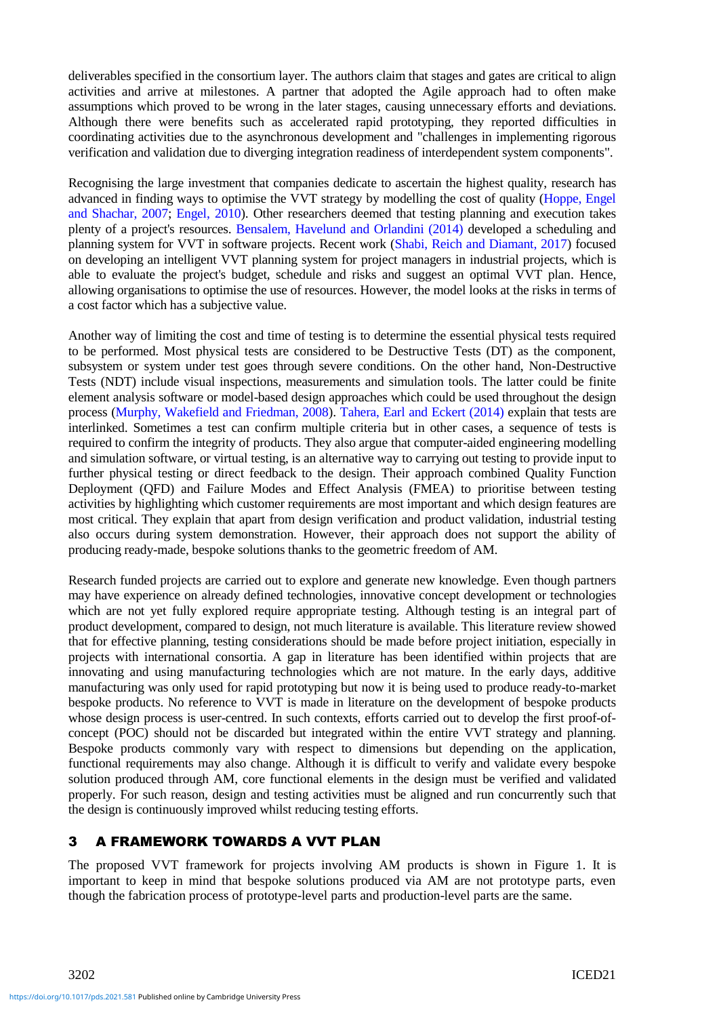deliverables specified in the consortium layer. The authors claim that stages and gates are critical to align activities and arrive at milestones. A partner that adopted the Agile approach had to often make assumptions which proved to be wrong in the later stages, causing unnecessary efforts and deviations. Although there were benefits such as accelerated rapid prototyping, they reported difficulties in coordinating activities due to the asynchronous development and "challenges in implementing rigorous verification and validation due to diverging integration readiness of interdependent system components".

Recognising the large investment that companies dedicate to ascertain the highest quality, research has advanced in finding ways to optimise the VVT strategy by modelling the cost of quality (Hoppe, Engel and Shachar, 2007; Engel, 2010). Other researchers deemed that testing planning and execution takes plenty of a project's resources. Bensalem, Havelund and Orlandini (2014) developed a scheduling and planning system for VVT in software projects. Recent work (Shabi, Reich and Diamant, 2017) focused on developing an intelligent VVT planning system for project managers in industrial projects, which is able to evaluate the project's budget, schedule and risks and suggest an optimal VVT plan. Hence, allowing organisations to optimise the use of resources. However, the model looks at the risks in terms of a cost factor which has a subjective value.

Another way of limiting the cost and time of testing is to determine the essential physical tests required to be performed. Most physical tests are considered to be Destructive Tests (DT) as the component, subsystem or system under test goes through severe conditions. On the other hand, Non-Destructive Tests (NDT) include visual inspections, measurements and simulation tools. The latter could be finite element analysis software or model-based design approaches which could be used throughout the design process (Murphy, Wakefield and Friedman, 2008). Tahera, Earl and Eckert (2014) explain that tests are interlinked. Sometimes a test can confirm multiple criteria but in other cases, a sequence of tests is required to confirm the integrity of products. They also argue that computer-aided engineering modelling and simulation software, or virtual testing, is an alternative way to carrying out testing to provide input to further physical testing or direct feedback to the design. Their approach combined Quality Function Deployment (QFD) and Failure Modes and Effect Analysis (FMEA) to prioritise between testing activities by highlighting which customer requirements are most important and which design features are most critical. They explain that apart from design verification and product validation, industrial testing also occurs during system demonstration. However, their approach does not support the ability of producing ready-made, bespoke solutions thanks to the geometric freedom of AM.

Research funded projects are carried out to explore and generate new knowledge. Even though partners may have experience on already defined technologies, innovative concept development or technologies which are not yet fully explored require appropriate testing. Although testing is an integral part of product development, compared to design, not much literature is available. This literature review showed that for effective planning, testing considerations should be made before project initiation, especially in projects with international consortia. A gap in literature has been identified within projects that are innovating and using manufacturing technologies which are not mature. In the early days, additive manufacturing was only used for rapid prototyping but now it is being used to produce ready-to-market bespoke products. No reference to VVT is made in literature on the development of bespoke products whose design process is user-centred. In such contexts, efforts carried out to develop the first proof-ofconcept (POC) should not be discarded but integrated within the entire VVT strategy and planning. Bespoke products commonly vary with respect to dimensions but depending on the application, functional requirements may also change. Although it is difficult to verify and validate every bespoke solution produced through AM, core functional elements in the design must be verified and validated properly. For such reason, design and testing activities must be aligned and run concurrently such that the design is continuously improved whilst reducing testing efforts.

# 3 A FRAMEWORK TOWARDS A VVT PLAN

The proposed VVT framework for projects involving AM products is shown in Figure 1. It is important to keep in mind that bespoke solutions produced via AM are not prototype parts, even though the fabrication process of prototype-level parts and production-level parts are the same.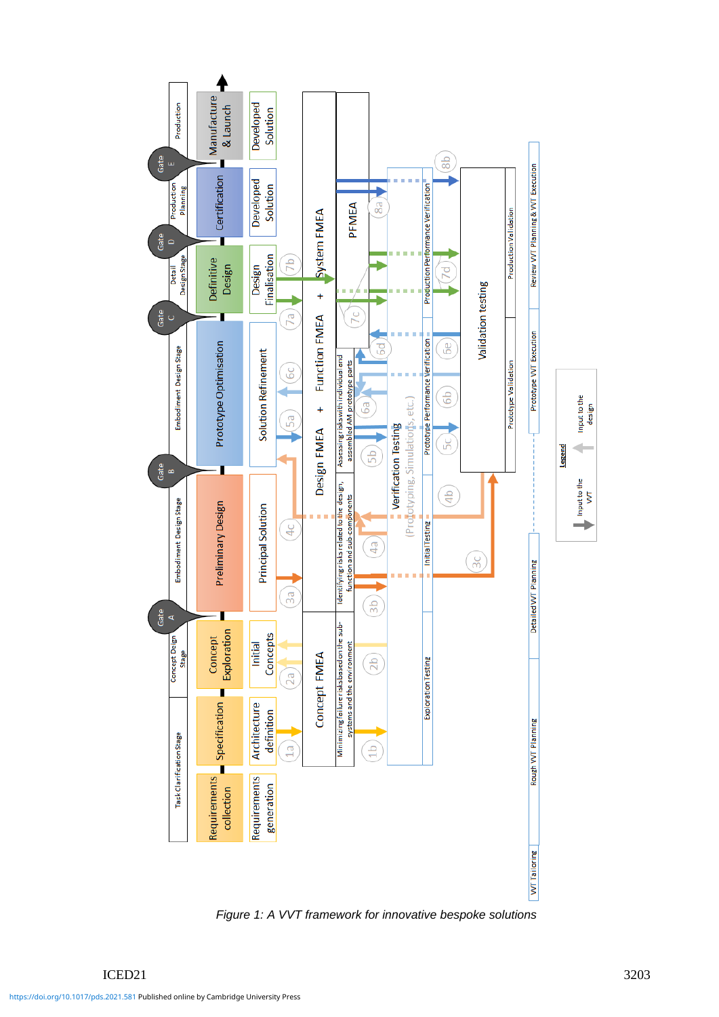

*Figure 1: A VVT framework for innovative bespoke solutions*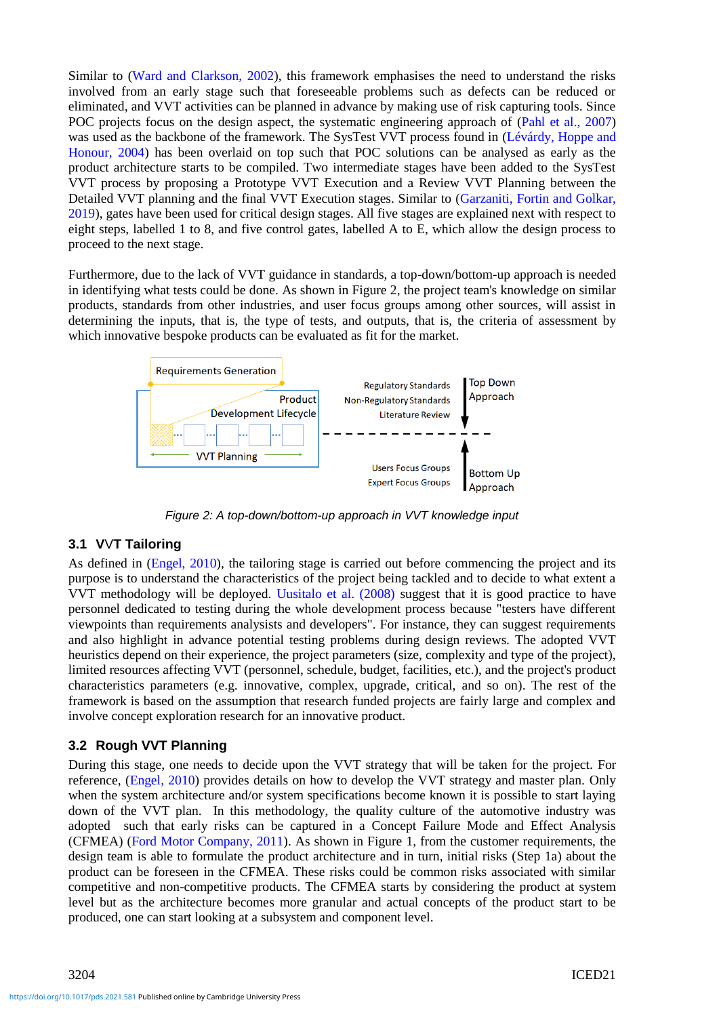Similar to (Ward and Clarkson, 2002), this framework emphasises the need to understand the risks involved from an early stage such that foreseeable problems such as defects can be reduced or eliminated, and VVT activities can be planned in advance by making use of risk capturing tools. Since POC projects focus on the design aspect, the systematic engineering approach of (Pahl et al., 2007) was used as the backbone of the framework. The SysTest VVT process found in (Lévárdy, Hoppe and Honour, 2004) has been overlaid on top such that POC solutions can be analysed as early as the product architecture starts to be compiled. Two intermediate stages have been added to the SysTest VVT process by proposing a Prototype VVT Execution and a Review VVT Planning between the Detailed VVT planning and the final VVT Execution stages. Similar to (Garzaniti, Fortin and Golkar, 2019), gates have been used for critical design stages. All five stages are explained next with respect to eight steps, labelled 1 to 8, and five control gates, labelled A to E, which allow the design process to proceed to the next stage.

Furthermore, due to the lack of VVT guidance in standards, a top-down/bottom-up approach is needed in identifying what tests could be done. As shown in Figure 2, the project team's knowledge on similar products, standards from other industries, and user focus groups among other sources, will assist in determining the inputs, that is, the type of tests, and outputs, that is, the criteria of assessment by which innovative bespoke products can be evaluated as fit for the market.



*Figure 2: A top-down/bottom-up approach in VVT knowledge input*

# **3.1 V**V**T Tailoring**

As defined in (Engel, 2010), the tailoring stage is carried out before commencing the project and its purpose is to understand the characteristics of the project being tackled and to decide to what extent a VVT methodology will be deployed. Uusitalo et al. (2008) suggest that it is good practice to have personnel dedicated to testing during the whole development process because "testers have different viewpoints than requirements analysists and developers". For instance, they can suggest requirements and also highlight in advance potential testing problems during design reviews. The adopted VVT heuristics depend on their experience, the project parameters (size, complexity and type of the project), limited resources affecting VVT (personnel, schedule, budget, facilities, etc.), and the project's product characteristics parameters (e.g. innovative, complex, upgrade, critical, and so on). The rest of the framework is based on the assumption that research funded projects are fairly large and complex and involve concept exploration research for an innovative product.

# **3.2 Rough VVT Planning**

During this stage, one needs to decide upon the VVT strategy that will be taken for the project. For reference, (Engel, 2010) provides details on how to develop the VVT strategy and master plan. Only when the system architecture and/or system specifications become known it is possible to start laying down of the VVT plan. In this methodology, the quality culture of the automotive industry was adopted such that early risks can be captured in a Concept Failure Mode and Effect Analysis (CFMEA) (Ford Motor Company, 2011). As shown in Figure 1, from the customer requirements, the design team is able to formulate the product architecture and in turn, initial risks (Step 1a) about the product can be foreseen in the CFMEA. These risks could be common risks associated with similar competitive and non-competitive products. The CFMEA starts by considering the product at system level but as the architecture becomes more granular and actual concepts of the product start to be produced, one can start looking at a subsystem and component level.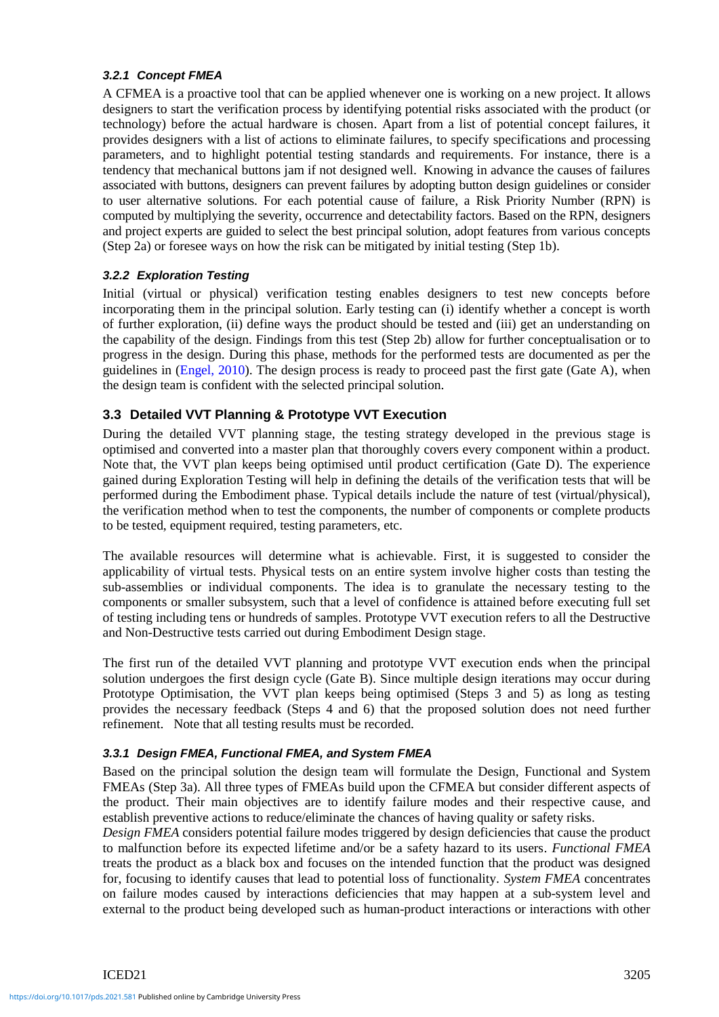#### *3.2.1 Concept FMEA*

A CFMEA is a proactive tool that can be applied whenever one is working on a new project. It allows designers to start the verification process by identifying potential risks associated with the product (or technology) before the actual hardware is chosen. Apart from a list of potential concept failures, it provides designers with a list of actions to eliminate failures, to specify specifications and processing parameters, and to highlight potential testing standards and requirements. For instance, there is a tendency that mechanical buttons jam if not designed well. Knowing in advance the causes of failures associated with buttons, designers can prevent failures by adopting button design guidelines or consider to user alternative solutions. For each potential cause of failure, a Risk Priority Number (RPN) is computed by multiplying the severity, occurrence and detectability factors. Based on the RPN, designers and project experts are guided to select the best principal solution, adopt features from various concepts (Step 2a) or foresee ways on how the risk can be mitigated by initial testing (Step 1b).

#### *3.2.2 Exploration Testing*

Initial (virtual or physical) verification testing enables designers to test new concepts before incorporating them in the principal solution. Early testing can (i) identify whether a concept is worth of further exploration, (ii) define ways the product should be tested and (iii) get an understanding on the capability of the design. Findings from this test (Step 2b) allow for further conceptualisation or to progress in the design. During this phase, methods for the performed tests are documented as per the guidelines in (Engel, 2010). The design process is ready to proceed past the first gate (Gate A), when the design team is confident with the selected principal solution.

#### **3.3 Detailed VVT Planning & Prototype VVT Execution**

During the detailed VVT planning stage, the testing strategy developed in the previous stage is optimised and converted into a master plan that thoroughly covers every component within a product. Note that, the VVT plan keeps being optimised until product certification (Gate D). The experience gained during Exploration Testing will help in defining the details of the verification tests that will be performed during the Embodiment phase. Typical details include the nature of test (virtual/physical), the verification method when to test the components, the number of components or complete products to be tested, equipment required, testing parameters, etc.

The available resources will determine what is achievable. First, it is suggested to consider the applicability of virtual tests. Physical tests on an entire system involve higher costs than testing the sub-assemblies or individual components. The idea is to granulate the necessary testing to the components or smaller subsystem, such that a level of confidence is attained before executing full set of testing including tens or hundreds of samples. Prototype VVT execution refers to all the Destructive and Non-Destructive tests carried out during Embodiment Design stage.

The first run of the detailed VVT planning and prototype VVT execution ends when the principal solution undergoes the first design cycle (Gate B). Since multiple design iterations may occur during Prototype Optimisation, the VVT plan keeps being optimised (Steps 3 and 5) as long as testing provides the necessary feedback (Steps 4 and 6) that the proposed solution does not need further refinement. Note that all testing results must be recorded.

#### *3.3.1 Design FMEA, Functional FMEA, and System FMEA*

Based on the principal solution the design team will formulate the Design, Functional and System FMEAs (Step 3a). All three types of FMEAs build upon the CFMEA but consider different aspects of the product. Their main objectives are to identify failure modes and their respective cause, and establish preventive actions to reduce/eliminate the chances of having quality or safety risks.

*Design FMEA* considers potential failure modes triggered by design deficiencies that cause the product to malfunction before its expected lifetime and/or be a safety hazard to its users. *Functional FMEA* treats the product as a black box and focuses on the intended function that the product was designed for, focusing to identify causes that lead to potential loss of functionality. *System FMEA* concentrates on failure modes caused by interactions deficiencies that may happen at a sub-system level and external to the product being developed such as human-product interactions or interactions with other

ICED21 3205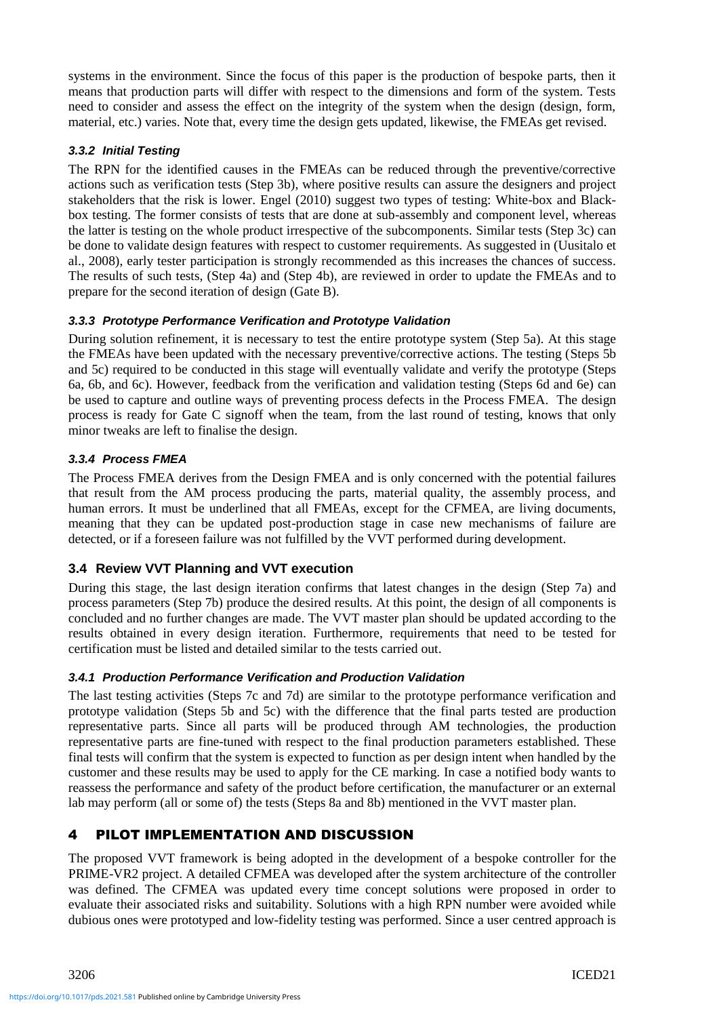systems in the environment. Since the focus of this paper is the production of bespoke parts, then it means that production parts will differ with respect to the dimensions and form of the system. Tests need to consider and assess the effect on the integrity of the system when the design (design, form, material, etc.) varies. Note that, every time the design gets updated, likewise, the FMEAs get revised.

### *3.3.2 Initial Testing*

The RPN for the identified causes in the FMEAs can be reduced through the preventive/corrective actions such as verification tests (Step 3b), where positive results can assure the designers and project stakeholders that the risk is lower. Engel (2010) suggest two types of testing: White-box and Blackbox testing. The former consists of tests that are done at sub-assembly and component level, whereas the latter is testing on the whole product irrespective of the subcomponents. Similar tests (Step 3c) can be done to validate design features with respect to customer requirements. As suggested in (Uusitalo et al., 2008), early tester participation is strongly recommended as this increases the chances of success. The results of such tests, (Step 4a) and (Step 4b), are reviewed in order to update the FMEAs and to prepare for the second iteration of design (Gate B).

### *3.3.3 Prototype Performance Verification and Prototype Validation*

During solution refinement, it is necessary to test the entire prototype system (Step 5a). At this stage the FMEAs have been updated with the necessary preventive/corrective actions. The testing (Steps 5b and 5c) required to be conducted in this stage will eventually validate and verify the prototype (Steps 6a, 6b, and 6c). However, feedback from the verification and validation testing (Steps 6d and 6e) can be used to capture and outline ways of preventing process defects in the Process FMEA. The design process is ready for Gate C signoff when the team, from the last round of testing, knows that only minor tweaks are left to finalise the design.

### *3.3.4 Process FMEA*

The Process FMEA derives from the Design FMEA and is only concerned with the potential failures that result from the AM process producing the parts, material quality, the assembly process, and human errors. It must be underlined that all FMEAs, except for the CFMEA, are living documents, meaning that they can be updated post-production stage in case new mechanisms of failure are detected, or if a foreseen failure was not fulfilled by the VVT performed during development.

### **3.4 Review VVT Planning and VVT execution**

During this stage, the last design iteration confirms that latest changes in the design (Step 7a) and process parameters (Step 7b) produce the desired results. At this point, the design of all components is concluded and no further changes are made. The VVT master plan should be updated according to the results obtained in every design iteration. Furthermore, requirements that need to be tested for certification must be listed and detailed similar to the tests carried out.

### *3.4.1 Production Performance Verification and Production Validation*

The last testing activities (Steps 7c and 7d) are similar to the prototype performance verification and prototype validation (Steps 5b and 5c) with the difference that the final parts tested are production representative parts. Since all parts will be produced through AM technologies, the production representative parts are fine-tuned with respect to the final production parameters established. These final tests will confirm that the system is expected to function as per design intent when handled by the customer and these results may be used to apply for the CE marking. In case a notified body wants to reassess the performance and safety of the product before certification, the manufacturer or an external lab may perform (all or some of) the tests (Steps 8a and 8b) mentioned in the VVT master plan.

# 4 PILOT IMPLEMENTATION AND DISCUSSION

The proposed VVT framework is being adopted in the development of a bespoke controller for the PRIME-VR2 project. A detailed CFMEA was developed after the system architecture of the controller was defined. The CFMEA was updated every time concept solutions were proposed in order to evaluate their associated risks and suitability. Solutions with a high RPN number were avoided while dubious ones were prototyped and low-fidelity testing was performed. Since a user centred approach is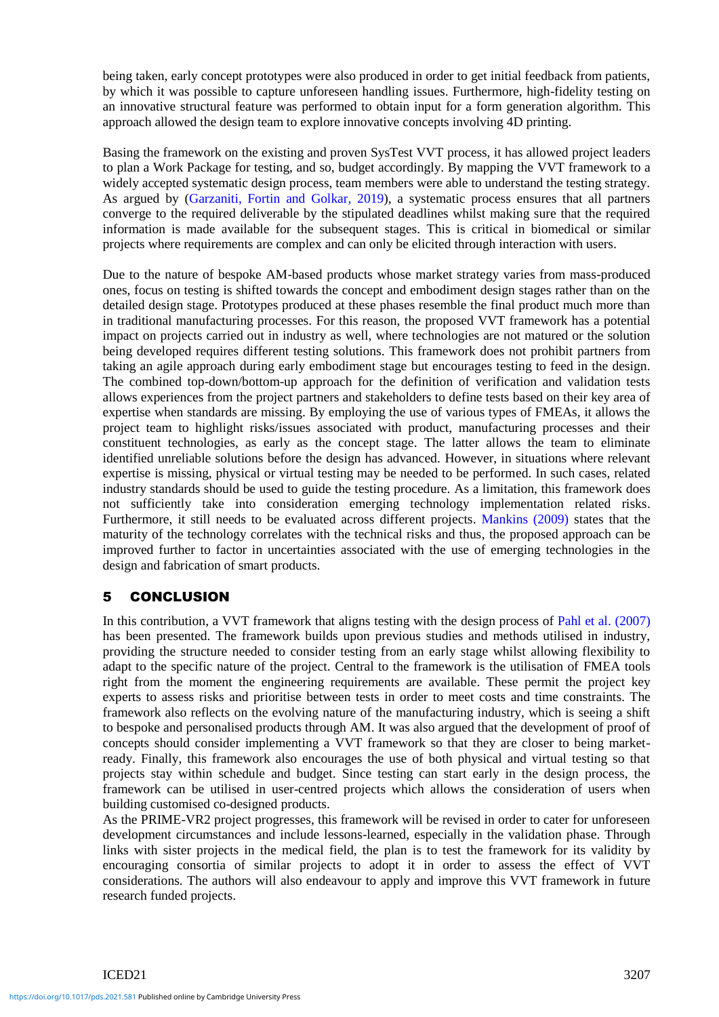being taken, early concept prototypes were also produced in order to get initial feedback from patients, by which it was possible to capture unforeseen handling issues. Furthermore, high-fidelity testing on an innovative structural feature was performed to obtain input for a form generation algorithm. This approach allowed the design team to explore innovative concepts involving 4D printing.

Basing the framework on the existing and proven SysTest VVT process, it has allowed project leaders to plan a Work Package for testing, and so, budget accordingly. By mapping the VVT framework to a widely accepted systematic design process, team members were able to understand the testing strategy. As argued by (Garzaniti, Fortin and Golkar, 2019), a systematic process ensures that all partners converge to the required deliverable by the stipulated deadlines whilst making sure that the required information is made available for the subsequent stages. This is critical in biomedical or similar projects where requirements are complex and can only be elicited through interaction with users.

Due to the nature of bespoke AM-based products whose market strategy varies from mass-produced ones, focus on testing is shifted towards the concept and embodiment design stages rather than on the detailed design stage. Prototypes produced at these phases resemble the final product much more than in traditional manufacturing processes. For this reason, the proposed VVT framework has a potential impact on projects carried out in industry as well, where technologies are not matured or the solution being developed requires different testing solutions. This framework does not prohibit partners from taking an agile approach during early embodiment stage but encourages testing to feed in the design. The combined top-down/bottom-up approach for the definition of verification and validation tests allows experiences from the project partners and stakeholders to define tests based on their key area of expertise when standards are missing. By employing the use of various types of FMEAs, it allows the project team to highlight risks/issues associated with product, manufacturing processes and their constituent technologies, as early as the concept stage. The latter allows the team to eliminate identified unreliable solutions before the design has advanced. However, in situations where relevant expertise is missing, physical or virtual testing may be needed to be performed. In such cases, related industry standards should be used to guide the testing procedure. As a limitation, this framework does not sufficiently take into consideration emerging technology implementation related risks. Furthermore, it still needs to be evaluated across different projects. Mankins (2009) states that the maturity of the technology correlates with the technical risks and thus, the proposed approach can be improved further to factor in uncertainties associated with the use of emerging technologies in the design and fabrication of smart products.

# 5 CONCLUSION

In this contribution, a VVT framework that aligns testing with the design process of Pahl et al. (2007) has been presented. The framework builds upon previous studies and methods utilised in industry, providing the structure needed to consider testing from an early stage whilst allowing flexibility to adapt to the specific nature of the project. Central to the framework is the utilisation of FMEA tools right from the moment the engineering requirements are available. These permit the project key experts to assess risks and prioritise between tests in order to meet costs and time constraints. The framework also reflects on the evolving nature of the manufacturing industry, which is seeing a shift to bespoke and personalised products through AM. It was also argued that the development of proof of concepts should consider implementing a VVT framework so that they are closer to being marketready. Finally, this framework also encourages the use of both physical and virtual testing so that projects stay within schedule and budget. Since testing can start early in the design process, the framework can be utilised in user-centred projects which allows the consideration of users when building customised co-designed products.

As the PRIME-VR2 project progresses, this framework will be revised in order to cater for unforeseen development circumstances and include lessons-learned, especially in the validation phase. Through links with sister projects in the medical field, the plan is to test the framework for its validity by encouraging consortia of similar projects to adopt it in order to assess the effect of VVT considerations. The authors will also endeavour to apply and improve this VVT framework in future research funded projects.